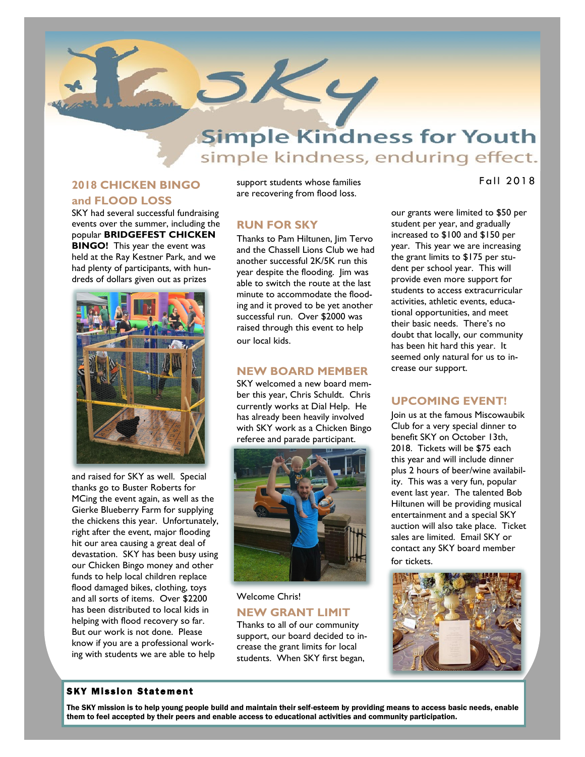# **Simple Kindness for Youth** simple kindness, enduring effect.

## **2018 CHICKEN BINGO**

**N e w s l e t t e t t e t t e** 

#### **and FLOOD LOSS**

SKY had several successful fundraising events over the summer, including the popular **BRIDGEFEST CHICKEN BINGO!** This year the event was held at the Ray Kestner Park, and we had plenty of participants, with hundreds of dollars given out as prizes



and raised for SKY as well. Special thanks go to Buster Roberts for MCing the event again, as well as the Gierke Blueberry Farm for supplying the chickens this year. Unfortunately, right after the event, major flooding hit our area causing a great deal of devastation. SKY has been busy using our Chicken Bingo money and other funds to help local children replace flood damaged bikes, clothing, toys and all sorts of items. Over \$2200 has been distributed to local kids in helping with flood recovery so far. But our work is not done. Please know if you are a professional working with students we are able to help

support students whose families are recovering from flood loss.

#### **RUN FOR SKY**

**SKY** 

Thanks to Pam Hiltunen, Jim Tervo and the Chassell Lions Club we had another successful 2K/5K run this year despite the flooding. Jim was able to switch the route at the last minute to accommodate the flooding and it proved to be yet another successful run. Over \$2000 was raised through this event to help our local kids.

#### **NEW BOARD MEMBER**

SKY welcomed a new board member this year, Chris Schuldt. Chris currently works at Dial Help. He has already been heavily involved with SKY work as a Chicken Bingo referee and parade participant.



Welcome Chris! **NEW GRANT LIMIT** Thanks to all of our community support, our board decided to increase the grant limits for local students. When SKY first began,

Fall 2018

our grants were limited to \$50 per student per year, and gradually increased to \$100 and \$150 per year. This year we are increasing the grant limits to \$175 per student per school year. This will provide even more support for students to access extracurricular activities, athletic events, educational opportunities, and meet their basic needs. There's no doubt that locally, our community has been hit hard this year. It seemed only natural for us to increase our support.

### **UPCOMING EVENT!**

Join us at the famous Miscowaubik Club for a very special dinner to benefit SKY on October 13th, 2018. Tickets will be \$75 each this year and will include dinner plus 2 hours of beer/wine availability. This was a very fun, popular event last year. The talented Bob Hiltunen will be providing musical entertainment and a special SKY auction will also take place. Ticket sales are limited. Email SKY or contact any SKY board member for tickets.



#### **SKY Mission Statement**

The SKY mission is to help young people build and maintain their self-esteem by providing means to access basic needs, enable them to feel accepted by their peers and enable access to educational activities and community participation.